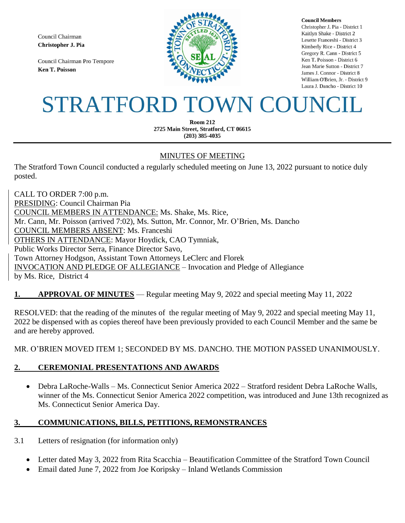Council Chairman Christopher J. Pia

Council Chairman Pro Tempore **Ken T. Poisson** 



**Council Members** Christopher J. Pia - District 1 Kaitlyn Shake - District 2 Lesette Franceshi - District 3 Kimberly Rice - District 4 Gregory R. Cann - District 5 Ken T. Poisson - District 6 Jean Marie Sutton - District 7 James J. Connor - District 8 William O'Brien, Jr. - District 9 Laura J. Dancho - District 10

# STRATFORD TOWN COUNCIL

**Room 212** 2725 Main Street, Stratford, CT 06615  $(203)$  385-4035

## MINUTES OF MEETING

The Stratford Town Council conducted a regularly scheduled meeting on June 13, 2022 pursuant to notice duly posted.

CALL TO ORDER 7:00 p.m. PRESIDING: Council Chairman Pia COUNCIL MEMBERS IN ATTENDANCE: Ms. Shake, Ms. Rice, Mr. Cann, Mr. Poisson (arrived 7:02), Ms. Sutton, Mr. Connor, Mr. O'Brien, Ms. Dancho COUNCIL MEMBERS ABSENT: Ms. Franceshi OTHERS IN ATTENDANCE: Mayor Hoydick, CAO Tymniak, Public Works Director Serra, Finance Director Savo, Town Attorney Hodgson, Assistant Town Attorneys LeClerc and Florek INVOCATION AND PLEDGE OF ALLEGIANCE – Invocation and Pledge of Allegiance by Ms. Rice, District 4

## **1. APPROVAL OF MINUTES** — Regular meeting May 9, 2022 and special meeting May 11, 2022

RESOLVED: that the reading of the minutes of the regular meeting of May 9, 2022 and special meeting May 11, 2022 be dispensed with as copies thereof have been previously provided to each Council Member and the same be and are hereby approved.

MR. O'BRIEN MOVED ITEM 1; SECONDED BY MS. DANCHO. THE MOTION PASSED UNANIMOUSLY.

## **2. CEREMONIAL PRESENTATIONS AND AWARDS**

 Debra LaRoche-Walls – Ms. Connecticut Senior America 2022 – Stratford resident Debra LaRoche Walls, winner of the Ms. Connecticut Senior America 2022 competition, was introduced and June 13th recognized as Ms. Connecticut Senior America Day.

## **3. COMMUNICATIONS, BILLS, PETITIONS, REMONSTRANCES**

- 3.1 Letters of resignation (for information only)
	- Letter dated May 3, 2022 from Rita Scacchia Beautification Committee of the Stratford Town Council
	- Email dated June 7, 2022 from Joe Koripsky Inland Wetlands Commission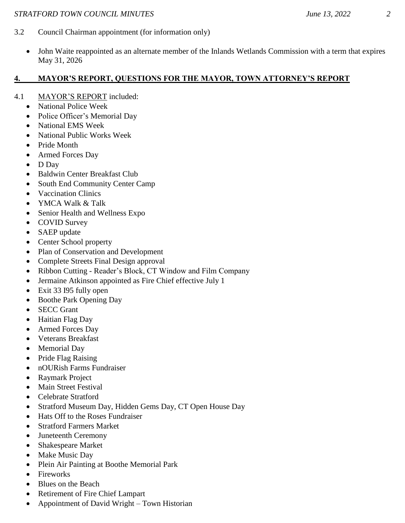- 3.2 Council Chairman appointment (for information only)
	- John Waite reappointed as an alternate member of the Inlands Wetlands Commission with a term that expires May 31, 2026

# **4. MAYOR'S REPORT, QUESTIONS FOR THE MAYOR, TOWN ATTORNEY'S REPORT**

- 4.1 MAYOR'S REPORT included:
	- National Police Week
	- Police Officer's Memorial Day
	- National EMS Week
	- National Public Works Week
	- Pride Month
	- Armed Forces Day
	- D Day
	- Baldwin Center Breakfast Club
	- South End Community Center Camp
	- Vaccination Clinics
	- YMCA Walk & Talk
	- Senior Health and Wellness Expo
	- COVID Survey
	- SAEP update
	- Center School property
	- Plan of Conservation and Development
	- Complete Streets Final Design approval
	- Ribbon Cutting Reader's Block, CT Window and Film Company
	- Jermaine Atkinson appointed as Fire Chief effective July 1
	- Exit 33 I95 fully open
	- Boothe Park Opening Day
	- SECC Grant
	- Haitian Flag Day
	- Armed Forces Day
	- Veterans Breakfast
	- Memorial Day
	- Pride Flag Raising
	- nOURish Farms Fundraiser
	- Raymark Project
	- Main Street Festival
	- Celebrate Stratford
	- Stratford Museum Day, Hidden Gems Day, CT Open House Day
	- Hats Off to the Roses Fundraiser
	- Stratford Farmers Market
	- Juneteenth Ceremony
	- Shakespeare Market
	- Make Music Day
	- Plein Air Painting at Boothe Memorial Park
	- Fireworks
	- Blues on the Beach
	- Retirement of Fire Chief Lampart
	- Appointment of David Wright Town Historian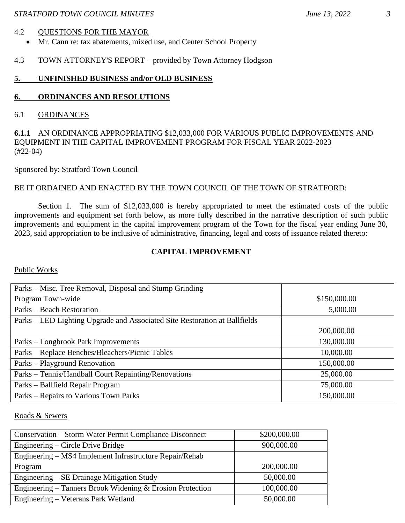#### 4.2 QUESTIONS FOR THE MAYOR

- Mr. Cann re: tax abatements, mixed use, and Center School Property
- 4.3 TOWN ATTORNEY'S REPORT provided by Town Attorney Hodgson

## **5. UNFINISHED BUSINESS and/or OLD BUSINESS**

## **6. ORDINANCES AND RESOLUTIONS**

#### 6.1 ORDINANCES

## **6.1.1** AN ORDINANCE APPROPRIATING \$12,033,000 FOR VARIOUS PUBLIC IMPROVEMENTS AND EQUIPMENT IN THE CAPITAL IMPROVEMENT PROGRAM FOR FISCAL YEAR 2022-2023 (#22-04)

Sponsored by: Stratford Town Council

#### BE IT ORDAINED AND ENACTED BY THE TOWN COUNCIL OF THE TOWN OF STRATFORD:

Section 1. The sum of \$12,033,000 is hereby appropriated to meet the estimated costs of the public improvements and equipment set forth below, as more fully described in the narrative description of such public improvements and equipment in the capital improvement program of the Town for the fiscal year ending June 30, 2023, said appropriation to be inclusive of administrative, financing, legal and costs of issuance related thereto:

## **CAPITAL IMPROVEMENT**

#### Public Works

| Parks – Misc. Tree Removal, Disposal and Stump Grinding                    |              |
|----------------------------------------------------------------------------|--------------|
| Program Town-wide                                                          | \$150,000.00 |
| Parks – Beach Restoration                                                  | 5,000.00     |
| Parks – LED Lighting Upgrade and Associated Site Restoration at Ballfields |              |
|                                                                            | 200,000.00   |
| Parks – Longbrook Park Improvements                                        | 130,000.00   |
| Parks - Replace Benches/Bleachers/Picnic Tables                            | 10,000.00    |
| Parks – Playground Renovation                                              | 150,000.00   |
| Parks – Tennis/Handball Court Repainting/Renovations                       | 25,000.00    |
| Parks – Ballfield Repair Program                                           | 75,000.00    |
| Parks – Repairs to Various Town Parks                                      | 150,000.00   |

Roads & Sewers

| Conservation – Storm Water Permit Compliance Disconnect   | \$200,000.00 |
|-----------------------------------------------------------|--------------|
| Engineering – Circle Drive Bridge                         | 900,000.00   |
| Engineering – MS4 Implement Infrastructure Repair/Rehab   |              |
| Program                                                   | 200,000.00   |
| Engineering – SE Drainage Mitigation Study                | 50,000.00    |
| Engineering – Tanners Brook Widening & Erosion Protection | 100,000.00   |
| Engineering – Veterans Park Wetland                       | 50,000.00    |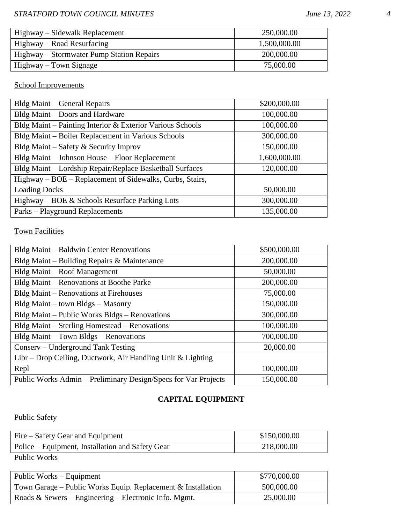| Highway – Sidewalk Replacement            | 250,000.00   |
|-------------------------------------------|--------------|
| Highway – Road Resurfacing                | 1,500,000.00 |
| Highway – Stormwater Pump Station Repairs | 200,000.00   |
| Highway – Town Signage                    | 75,000.00    |

# School Improvements

| Bldg Maint – General Repairs                              | \$200,000.00 |
|-----------------------------------------------------------|--------------|
| Bldg Maint – Doors and Hardware                           | 100,000.00   |
| Bldg Maint – Painting Interior & Exterior Various Schools | 100,000.00   |
| Bldg Maint - Boiler Replacement in Various Schools        | 300,000.00   |
| Bldg Maint – Safety & Security Improv                     | 150,000.00   |
| Bldg Maint – Johnson House – Floor Replacement            | 1,600,000.00 |
| Bldg Maint - Lordship Repair/Replace Basketball Surfaces  | 120,000.00   |
| Highway – BOE – Replacement of Sidewalks, Curbs, Stairs,  |              |
| <b>Loading Docks</b>                                      | 50,000.00    |
| Highway – BOE & Schools Resurface Parking Lots            | 300,000.00   |
| Parks – Playground Replacements                           | 135,000.00   |

# **Town Facilities**

| Bldg Maint - Baldwin Center Renovations                        | \$500,000.00 |
|----------------------------------------------------------------|--------------|
| Bldg Maint – Building Repairs & Maintenance                    | 200,000.00   |
| Bldg Maint – Roof Management                                   | 50,000.00    |
| Bldg Maint – Renovations at Boothe Parke                       | 200,000.00   |
| Bldg Maint – Renovations at Firehouses                         | 75,000.00    |
| Bldg Maint – town Bldgs – Masonry                              | 150,000.00   |
| Bldg Maint – Public Works Bldgs – Renovations                  | 300,000.00   |
| Bldg Maint – Sterling Homestead – Renovations                  | 100,000.00   |
| Bldg Maint - Town Bldgs - Renovations                          | 700,000.00   |
| Conserv – Underground Tank Testing                             | 20,000.00    |
| Libr – Drop Ceiling, Ductwork, Air Handling Unit & Lighting    |              |
| Repl                                                           | 100,000.00   |
| Public Works Admin – Preliminary Design/Specs for Var Projects | 150,000.00   |

## **CAPITAL EQUIPMENT**

## Public Safety

| Fire – Safety Gear and Equipment                 | \$150,000.00 |
|--------------------------------------------------|--------------|
| Police – Equipment, Installation and Safety Gear | 218,000.00   |
| Public Works                                     |              |

| Public Works – Equipment                                       | \$770,000.00 |
|----------------------------------------------------------------|--------------|
| Town Garage – Public Works Equip. Replacement $&$ Installation | 500,000.00   |
| Roads & Sewers – Engineering – Electronic Info. Mgmt.          | 25,000.00    |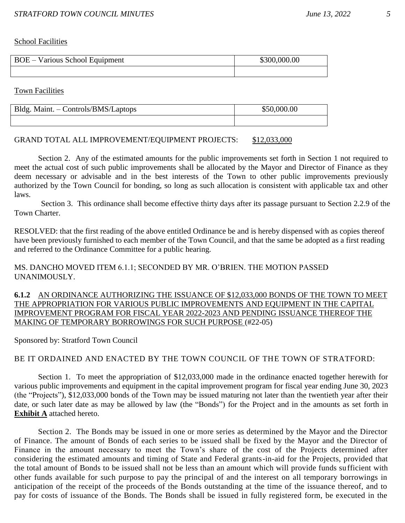School Facilities

| BOE – Various School Equipment | \$300,000.00 |
|--------------------------------|--------------|
|                                |              |

Town Facilities

| Bldg. Maint. - Controls/BMS/Laptops | \$50,000.00 |
|-------------------------------------|-------------|
|                                     |             |

#### GRAND TOTAL ALL IMPROVEMENT/EQUIPMENT PROJECTS: \$12,033,000

Section 2. Any of the estimated amounts for the public improvements set forth in Section 1 not required to meet the actual cost of such public improvements shall be allocated by the Mayor and Director of Finance as they deem necessary or advisable and in the best interests of the Town to other public improvements previously authorized by the Town Council for bonding, so long as such allocation is consistent with applicable tax and other laws.

Section 3. This ordinance shall become effective thirty days after its passage pursuant to Section 2.2.9 of the Town Charter.

RESOLVED: that the first reading of the above entitled Ordinance be and is hereby dispensed with as copies thereof have been previously furnished to each member of the Town Council, and that the same be adopted as a first reading and referred to the Ordinance Committee for a public hearing.

#### MS. DANCHO MOVED ITEM 6.1.1; SECONDED BY MR. O'BRIEN. THE MOTION PASSED UNANIMOUSLY.

**6.1.2** AN ORDINANCE AUTHORIZING THE ISSUANCE OF \$12,033,000 BONDS OF THE TOWN TO MEET THE APPROPRIATION FOR VARIOUS PUBLIC IMPROVEMENTS AND EQUIPMENT IN THE CAPITAL IMPROVEMENT PROGRAM FOR FISCAL YEAR 2022-2023 AND PENDING ISSUANCE THEREOF THE MAKING OF TEMPORARY BORROWINGS FOR SUCH PURPOSE (#22-05)

Sponsored by: Stratford Town Council

## BE IT ORDAINED AND ENACTED BY THE TOWN COUNCIL OF THE TOWN OF STRATFORD:

Section 1. To meet the appropriation of \$12,033,000 made in the ordinance enacted together herewith for various public improvements and equipment in the capital improvement program for fiscal year ending June 30, 2023 (the "Projects"), \$12,033,000 bonds of the Town may be issued maturing not later than the twentieth year after their date, or such later date as may be allowed by law (the "Bonds") for the Project and in the amounts as set forth in **Exhibit A** attached hereto.

Section 2. The Bonds may be issued in one or more series as determined by the Mayor and the Director of Finance. The amount of Bonds of each series to be issued shall be fixed by the Mayor and the Director of Finance in the amount necessary to meet the Town's share of the cost of the Projects determined after considering the estimated amounts and timing of State and Federal grants-in-aid for the Projects, provided that the total amount of Bonds to be issued shall not be less than an amount which will provide funds su fficient with other funds available for such purpose to pay the principal of and the interest on all temporary borrowings in anticipation of the receipt of the proceeds of the Bonds outstanding at the time of the issuance thereof, and to pay for costs of issuance of the Bonds. The Bonds shall be issued in fully registered form, be executed in the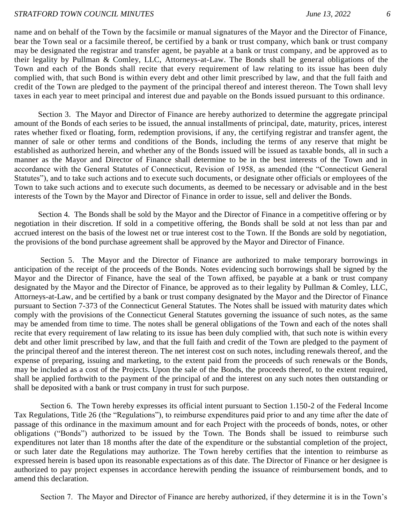name and on behalf of the Town by the facsimile or manual signatures of the Mayor and the Director of Finance, bear the Town seal or a facsimile thereof, be certified by a bank or trust company, which bank or trust company may be designated the registrar and transfer agent, be payable at a bank or trust company, and be approved as to their legality by Pullman & Comley, LLC, Attorneys-at-Law. The Bonds shall be general obligations of the Town and each of the Bonds shall recite that every requirement of law relating to its issue has been duly complied with, that such Bond is within every debt and other limit prescribed by law, and that the full faith and credit of the Town are pledged to the payment of the principal thereof and interest thereon. The Town shall levy taxes in each year to meet principal and interest due and payable on the Bonds issued pursuant to this ordinance.

Section 3. The Mayor and Director of Finance are hereby authorized to determine the aggregate principal amount of the Bonds of each series to be issued, the annual installments of principal, date, maturity, prices, interest rates whether fixed or floating, form, redemption provisions, if any, the certifying registrar and transfer agent, the manner of sale or other terms and conditions of the Bonds, including the terms of any reserve that might be established as authorized herein, and whether any of the Bonds issued will be issued as taxable bonds, all in such a manner as the Mayor and Director of Finance shall determine to be in the best interests of the Town and in accordance with the General Statutes of Connecticut, Revision of 1958, as amended (the "Connecticut General Statutes"), and to take such actions and to execute such documents, or designate other officials or employees of the Town to take such actions and to execute such documents, as deemed to be necessary or advisable and in the best interests of the Town by the Mayor and Director of Finance in order to issue, sell and deliver the Bonds.

Section 4. The Bonds shall be sold by the Mayor and the Director of Finance in a competitive offering or by negotiation in their discretion. If sold in a competitive offering, the Bonds shall be sold at not less than par and accrued interest on the basis of the lowest net or true interest cost to the Town. If the Bonds are sold by negotiation, the provisions of the bond purchase agreement shall be approved by the Mayor and Director of Finance.

Section 5. The Mayor and the Director of Finance are authorized to make temporary borrowings in anticipation of the receipt of the proceeds of the Bonds. Notes evidencing such borrowings shall be signed by the Mayor and the Director of Finance, have the seal of the Town affixed, be payable at a bank or trust company designated by the Mayor and the Director of Finance, be approved as to their legality by Pullman & Comley, LLC, Attorneys-at-Law, and be certified by a bank or trust company designated by the Mayor and the Director of Finance pursuant to Section 7-373 of the Connecticut General Statutes. The Notes shall be issued with maturity dates which comply with the provisions of the Connecticut General Statutes governing the issuance of such notes, as the same may be amended from time to time. The notes shall be general obligations of the Town and each of the notes shall recite that every requirement of law relating to its issue has been duly complied with, that such note is within every debt and other limit prescribed by law, and that the full faith and credit of the Town are pledged to the payment of the principal thereof and the interest thereon. The net interest cost on such notes, including renewals thereof, and the expense of preparing, issuing and marketing, to the extent paid from the proceeds of such renewals or the Bonds, may be included as a cost of the Projects. Upon the sale of the Bonds, the proceeds thereof, to the extent required, shall be applied forthwith to the payment of the principal of and the interest on any such notes then outstanding or shall be deposited with a bank or trust company in trust for such purpose.

Section 6. The Town hereby expresses its official intent pursuant to Section 1.150-2 of the Federal Income Tax Regulations, Title 26 (the "Regulations"), to reimburse expenditures paid prior to and any time after the date of passage of this ordinance in the maximum amount and for each Project with the proceeds of bonds, notes, or other obligations ("Bonds") authorized to be issued by the Town. The Bonds shall be issued to reimburse such expenditures not later than 18 months after the date of the expenditure or the substantial completion of the project, or such later date the Regulations may authorize. The Town hereby certifies that the intention to reimburse as expressed herein is based upon its reasonable expectations as of this date. The Director of Finance or her designee is authorized to pay project expenses in accordance herewith pending the issuance of reimbursement bonds, and to amend this declaration.

Section 7. The Mayor and Director of Finance are hereby authorized, if they determine it is in the Town's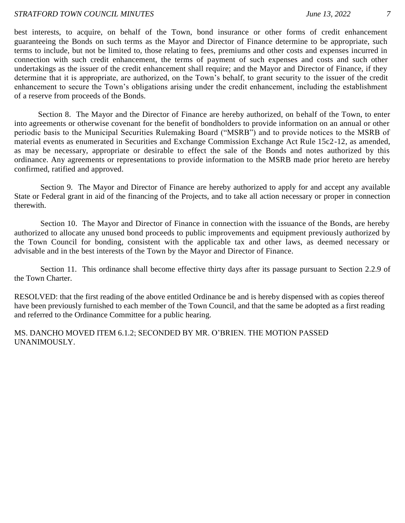best interests, to acquire, on behalf of the Town, bond insurance or other forms of credit enhancement guaranteeing the Bonds on such terms as the Mayor and Director of Finance determine to be appropriate, such terms to include, but not be limited to, those relating to fees, premiums and other costs and expenses incurred in connection with such credit enhancement, the terms of payment of such expenses and costs and such other undertakings as the issuer of the credit enhancement shall require; and the Mayor and Director of Finance, if they determine that it is appropriate, are authorized, on the Town's behalf, to grant security to the issuer of the credit enhancement to secure the Town's obligations arising under the credit enhancement, including the establishment of a reserve from proceeds of the Bonds.

Section 8. The Mayor and the Director of Finance are hereby authorized, on behalf of the Town, to enter into agreements or otherwise covenant for the benefit of bondholders to provide information on an annual or other periodic basis to the Municipal Securities Rulemaking Board ("MSRB") and to provide notices to the MSRB of material events as enumerated in Securities and Exchange Commission Exchange Act Rule 15c2-12, as amended, as may be necessary, appropriate or desirable to effect the sale of the Bonds and notes authorized by this ordinance. Any agreements or representations to provide information to the MSRB made prior hereto are hereby confirmed, ratified and approved.

Section 9. The Mayor and Director of Finance are hereby authorized to apply for and accept any available State or Federal grant in aid of the financing of the Projects, and to take all action necessary or proper in connection therewith.

Section 10. The Mayor and Director of Finance in connection with the issuance of the Bonds, are hereby authorized to allocate any unused bond proceeds to public improvements and equipment previously authorized by the Town Council for bonding, consistent with the applicable tax and other laws, as deemed necessary or advisable and in the best interests of the Town by the Mayor and Director of Finance.

Section 11. This ordinance shall become effective thirty days after its passage pursuant to Section 2.2.9 of the Town Charter.

RESOLVED: that the first reading of the above entitled Ordinance be and is hereby dispensed with as copies thereof have been previously furnished to each member of the Town Council, and that the same be adopted as a first reading and referred to the Ordinance Committee for a public hearing.

MS. DANCHO MOVED ITEM 6.1.2; SECONDED BY MR. O'BRIEN. THE MOTION PASSED UNANIMOUSLY.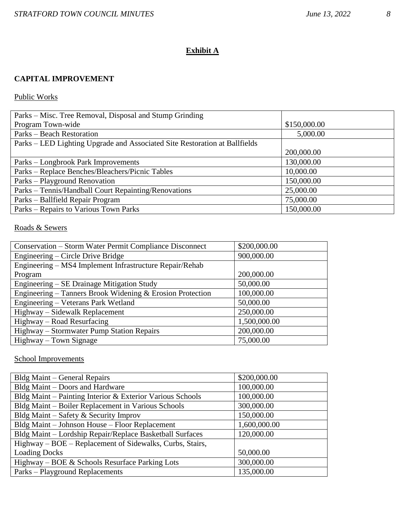## **Exhibit A**

## **CAPITAL IMPROVEMENT**

## Public Works

| Parks – Misc. Tree Removal, Disposal and Stump Grinding                    |              |
|----------------------------------------------------------------------------|--------------|
| Program Town-wide                                                          | \$150,000.00 |
| Parks – Beach Restoration                                                  | 5,000.00     |
| Parks – LED Lighting Upgrade and Associated Site Restoration at Ballfields |              |
|                                                                            | 200,000.00   |
| Parks – Longbrook Park Improvements                                        | 130,000.00   |
| Parks – Replace Benches/Bleachers/Picnic Tables                            | 10,000.00    |
| Parks – Playground Renovation                                              | 150,000.00   |
| Parks – Tennis/Handball Court Repainting/Renovations                       | 25,000.00    |
| Parks - Ballfield Repair Program                                           | 75,000.00    |
| Parks – Repairs to Various Town Parks                                      | 150,000.00   |

## Roads & Sewers

| Conservation – Storm Water Permit Compliance Disconnect   | \$200,000.00 |
|-----------------------------------------------------------|--------------|
| Engineering – Circle Drive Bridge                         | 900,000.00   |
| Engineering – MS4 Implement Infrastructure Repair/Rehab   |              |
| Program                                                   | 200,000.00   |
| Engineering – SE Drainage Mitigation Study                | 50,000.00    |
| Engineering – Tanners Brook Widening & Erosion Protection | 100,000.00   |
| Engineering - Veterans Park Wetland                       | 50,000.00    |
| Highway – Sidewalk Replacement                            | 250,000.00   |
| Highway – Road Resurfacing                                | 1,500,000.00 |
| Highway – Stormwater Pump Station Repairs                 | 200,000.00   |
| Highway – Town Signage                                    | 75,000.00    |

## School Improvements

| <b>Bldg Maint – General Repairs</b>                       | \$200,000.00 |
|-----------------------------------------------------------|--------------|
| Bldg Maint – Doors and Hardware                           | 100,000.00   |
| Bldg Maint - Painting Interior & Exterior Various Schools | 100,000.00   |
| Bldg Maint - Boiler Replacement in Various Schools        | 300,000.00   |
| Bldg Maint – Safety & Security Improv                     | 150,000.00   |
| Bldg Maint - Johnson House - Floor Replacement            | 1,600,000.00 |
| Bldg Maint - Lordship Repair/Replace Basketball Surfaces  | 120,000.00   |
| Highway – BOE – Replacement of Sidewalks, Curbs, Stairs,  |              |
| <b>Loading Docks</b>                                      | 50,000.00    |
| Highway – BOE & Schools Resurface Parking Lots            | 300,000.00   |
| Parks – Playground Replacements                           | 135,000.00   |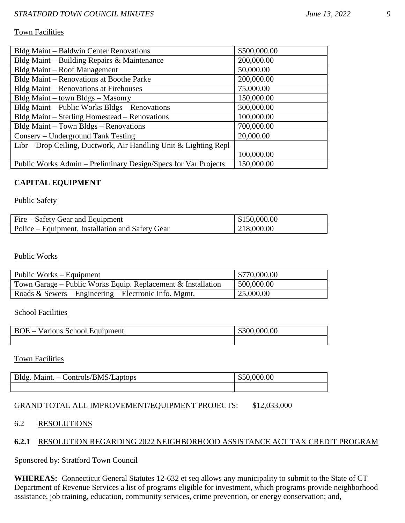#### Town Facilities

| Bldg Maint – Baldwin Center Renovations                          | \$500,000.00 |
|------------------------------------------------------------------|--------------|
| Bldg Maint – Building Repairs & Maintenance                      | 200,000.00   |
| Bldg Maint - Roof Management                                     | 50,000.00    |
| Bldg Maint - Renovations at Boothe Parke                         | 200,000.00   |
| Bldg Maint – Renovations at Firehouses                           | 75,000.00    |
| Bldg Maint – town Bldgs – Masonry                                | 150,000.00   |
| Bldg Maint - Public Works Bldgs - Renovations                    | 300,000.00   |
| Bldg Maint - Sterling Homestead - Renovations                    | 100,000.00   |
| Bldg Maint - Town Bldgs - Renovations                            | 700,000.00   |
| Conserv - Underground Tank Testing                               | 20,000.00    |
| Libr – Drop Ceiling, Ductwork, Air Handling Unit & Lighting Repl |              |
|                                                                  | 100,000.00   |
| Public Works Admin – Preliminary Design/Specs for Var Projects   | 150,000.00   |

## **CAPITAL EQUIPMENT**

#### Public Safety

| Fire – Safety Gear and Equipment                 | \$150,000.00 |
|--------------------------------------------------|--------------|
| Police – Equipment, Installation and Safety Gear | 218,000.00   |

#### Public Works

| Public Works – Equipment                                       | \$770,000.00 |
|----------------------------------------------------------------|--------------|
| Town Garage – Public Works Equip. Replacement $&$ Installation | 500,000.00   |
| Roads & Sewers – Engineering – Electronic Info. Mgmt.          | 25,000.00    |

**School Facilities** 

| <b>BOE</b><br>s School Equipment<br>Various<br>$\overline{\phantom{0}}$ | \$300,000.00 |
|-------------------------------------------------------------------------|--------------|
|                                                                         |              |

Town Facilities

| Bldg. Maint. - Controls/BMS/Laptops | .000.00 |
|-------------------------------------|---------|
|                                     |         |

## GRAND TOTAL ALL IMPROVEMENT/EQUIPMENT PROJECTS: \$12,033,000

#### 6.2 RESOLUTIONS

## **6.2.1** RESOLUTION REGARDING 2022 NEIGHBORHOOD ASSISTANCE ACT TAX CREDIT PROGRAM

Sponsored by: Stratford Town Council

**WHEREAS:** Connecticut General Statutes 12-632 et seq allows any municipality to submit to the State of CT Department of Revenue Services a list of programs eligible for investment, which programs provide neighborhood assistance, job training, education, community services, crime prevention, or energy conservation; and,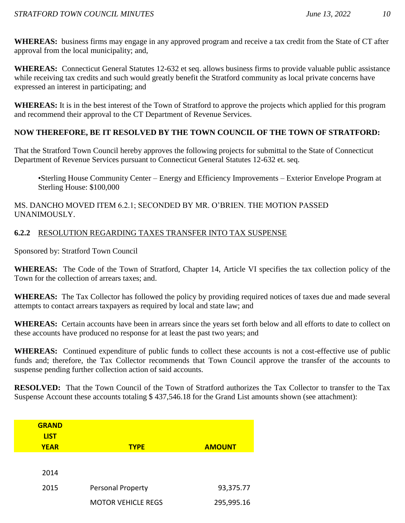**WHEREAS:** business firms may engage in any approved program and receive a tax credit from the State of CT after approval from the local municipality; and,

**WHEREAS:** Connecticut General Statutes 12-632 et seq. allows business firms to provide valuable public assistance while receiving tax credits and such would greatly benefit the Stratford community as local private concerns have expressed an interest in participating; and

**WHEREAS:** It is in the best interest of the Town of Stratford to approve the projects which applied for this program and recommend their approval to the CT Department of Revenue Services.

## **NOW THEREFORE, BE IT RESOLVED BY THE TOWN COUNCIL OF THE TOWN OF STRATFORD:**

That the Stratford Town Council hereby approves the following projects for submittal to the State of Connecticut Department of Revenue Services pursuant to Connecticut General Statutes 12-632 et. seq.

•Sterling House Community Center – Energy and Efficiency Improvements – Exterior Envelope Program at Sterling House: \$100,000

## MS. DANCHO MOVED ITEM 6.2.1; SECONDED BY MR. O'BRIEN. THE MOTION PASSED UNANIMOUSLY.

## **6.2.2** RESOLUTION REGARDING TAXES TRANSFER INTO TAX SUSPENSE

Sponsored by: Stratford Town Council

**WHEREAS:** The Code of the Town of Stratford, Chapter 14, Article VI specifies the tax collection policy of the Town for the collection of arrears taxes; and.

**WHEREAS:** The Tax Collector has followed the policy by providing required notices of taxes due and made several attempts to contact arrears taxpayers as required by local and state law; and

**WHEREAS:** Certain accounts have been in arrears since the years set forth below and all efforts to date to collect on these accounts have produced no response for at least the past two years; and

**WHEREAS:** Continued expenditure of public funds to collect these accounts is not a cost-effective use of public funds and; therefore, the Tax Collector recommends that Town Council approve the transfer of the accounts to suspense pending further collection action of said accounts.

**RESOLVED:** That the Town Council of the Town of Stratford authorizes the Tax Collector to transfer to the Tax Suspense Account these accounts totaling \$ 437,546.18 for the Grand List amounts shown (see attachment):

| <b>GRAND</b><br><b>LIST</b><br><b>YEAR</b> | <b>TYPE</b>               | <b>AMOUNT</b> |
|--------------------------------------------|---------------------------|---------------|
| 2014                                       |                           |               |
| 2015                                       | <b>Personal Property</b>  | 93,375.77     |
|                                            | <b>MOTOR VEHICLE REGS</b> | 295,995.16    |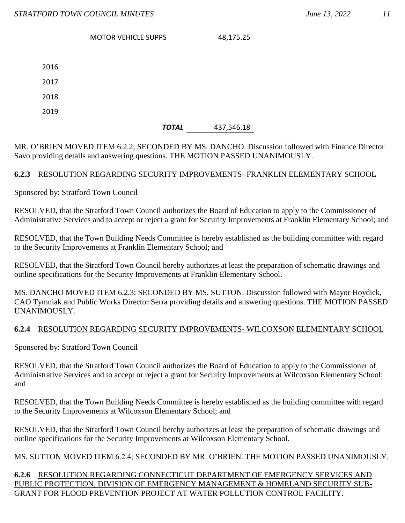MOTOR VEHICLE SUPPS 48,175.25

| 2016 |  |
|------|--|
| 2017 |  |
| 2018 |  |
| 2019 |  |

## *TOTAL* 437,546.18

MR. O'BRIEN MOVED ITEM 6.2.2; SECONDED BY MS. DANCHO. Discussion followed with Finance Director Savo providing details and answering questions. THE MOTION PASSED UNANIMOUSLY.

## **6.2.3** RESOLUTION REGARDING SECURITY IMPROVEMENTS- FRANKLIN ELEMENTARY SCHOOL

Sponsored by: Stratford Town Council

RESOLVED, that the Stratford Town Council authorizes the Board of Education to apply to the Commissioner of Administrative Services and to accept or reject a grant for Security Improvements at Franklin Elementary School; and

RESOLVED, that the Town Building Needs Committee is hereby established as the building committee with regard to the Security Improvements at Franklin Elementary School; and

RESOLVED, that the Stratford Town Council hereby authorizes at least the preparation of schematic drawings and outline specifications for the Security Improvements at Franklin Elementary School.

MS. DANCHO MOVED ITEM 6.2.3; SECONDED BY MS. SUTTON. Discussion followed with Mayor Hoydick, CAO Tymniak and Public Works Director Serra providing details and answering questions. THE MOTION PASSED UNANIMOUSLY.

## **6.2.4** RESOLUTION REGARDING SECURITY IMPROVEMENTS- WILCOXSON ELEMENTARY SCHOOL

Sponsored by: Stratford Town Council

RESOLVED, that the Stratford Town Council authorizes the Board of Education to apply to the Commissioner of Administrative Services and to accept or reject a grant for Security Improvements at Wilcoxson Elementary School; and

RESOLVED, that the Town Building Needs Committee is hereby established as the building committee with regard to the Security Improvements at Wilcoxson Elementary School; and

RESOLVED, that the Stratford Town Council hereby authorizes at least the preparation of schematic drawings and outline specifications for the Security Improvements at Wilcoxson Elementary School.

MS. SUTTON MOVED ITEM 6.2.4; SECONDED BY MR. O'BRIEN. THE MOTION PASSED UNANIMOUSLY.

#### **6.2.6** RESOLUTION REGARDING CONNECTICUT DEPARTMENT OF EMERGENCY SERVICES AND PUBLIC PROTECTION, DIVISION OF EMERGENCY MANAGEMENT & HOMELAND SECURITY SUB-GRANT FOR FLOOD PREVENTION PROJECT AT WATER POLLUTION CONTROL FACILITY.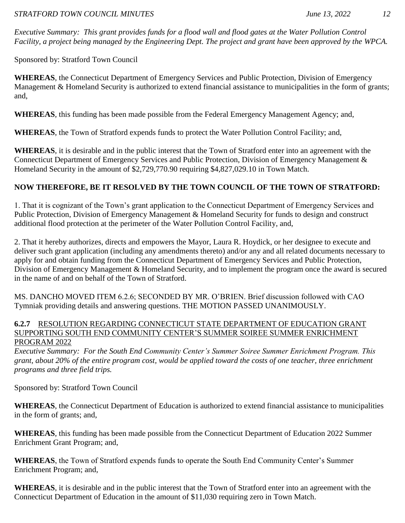*Executive Summary: This grant provides funds for a flood wall and flood gates at the Water Pollution Control Facility, a project being managed by the Engineering Dept. The project and grant have been approved by the WPCA.* 

Sponsored by: Stratford Town Council

**WHEREAS**, the Connecticut Department of Emergency Services and Public Protection, Division of Emergency Management & Homeland Security is authorized to extend financial assistance to municipalities in the form of grants; and,

**WHEREAS**, this funding has been made possible from the Federal Emergency Management Agency; and,

**WHEREAS**, the Town of Stratford expends funds to protect the Water Pollution Control Facility; and,

**WHEREAS**, it is desirable and in the public interest that the Town of Stratford enter into an agreement with the Connecticut Department of Emergency Services and Public Protection, Division of Emergency Management & Homeland Security in the amount of \$2,729,770.90 requiring \$4,827,029.10 in Town Match.

# **NOW THEREFORE, BE IT RESOLVED BY THE TOWN COUNCIL OF THE TOWN OF STRATFORD:**

1. That it is cognizant of the Town's grant application to the Connecticut Department of Emergency Services and Public Protection, Division of Emergency Management & Homeland Security for funds to design and construct additional flood protection at the perimeter of the Water Pollution Control Facility, and,

2. That it hereby authorizes, directs and empowers the Mayor, Laura R. Hoydick, or her designee to execute and deliver such grant application (including any amendments thereto) and/or any and all related documents necessary to apply for and obtain funding from the Connecticut Department of Emergency Services and Public Protection, Division of Emergency Management & Homeland Security, and to implement the program once the award is secured in the name of and on behalf of the Town of Stratford.

MS. DANCHO MOVED ITEM 6.2.6; SECONDED BY MR. O'BRIEN. Brief discussion followed with CAO Tymniak providing details and answering questions. THE MOTION PASSED UNANIMOUSLY.

## **6.2.7** RESOLUTION REGARDING CONNECTICUT STATE DEPARTMENT OF EDUCATION GRANT SUPPORTING SOUTH END COMMUNITY CENTER'S SUMMER SOIREE SUMMER ENRICHMENT PROGRAM 2022

*Executive Summary: For the South End Community Center's Summer Soiree Summer Enrichment Program. This grant, about 20% of the entire program cost, would be applied toward the costs of one teacher, three enrichment programs and three field trips.*

Sponsored by: Stratford Town Council

**WHEREAS**, the Connecticut Department of Education is authorized to extend financial assistance to municipalities in the form of grants; and,

**WHEREAS**, this funding has been made possible from the Connecticut Department of Education 2022 Summer Enrichment Grant Program; and,

**WHEREAS**, the Town of Stratford expends funds to operate the South End Community Center's Summer Enrichment Program; and,

**WHEREAS**, it is desirable and in the public interest that the Town of Stratford enter into an agreement with the Connecticut Department of Education in the amount of \$11,030 requiring zero in Town Match.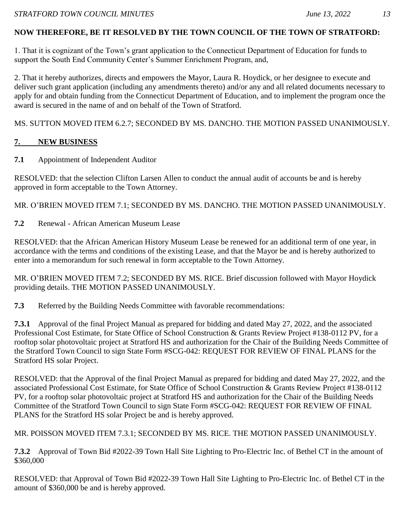# **NOW THEREFORE, BE IT RESOLVED BY THE TOWN COUNCIL OF THE TOWN OF STRATFORD:**

1. That it is cognizant of the Town's grant application to the Connecticut Department of Education for funds to support the South End Community Center's Summer Enrichment Program, and,

2. That it hereby authorizes, directs and empowers the Mayor, Laura R. Hoydick, or her designee to execute and deliver such grant application (including any amendments thereto) and/or any and all related documents necessary to apply for and obtain funding from the Connecticut Department of Education, and to implement the program once the award is secured in the name of and on behalf of the Town of Stratford.

MS. SUTTON MOVED ITEM 6.2.7; SECONDED BY MS. DANCHO. THE MOTION PASSED UNANIMOUSLY.

# **7. NEW BUSINESS**

**7.1** Appointment of Independent Auditor

RESOLVED: that the selection Clifton Larsen Allen to conduct the annual audit of accounts be and is hereby approved in form acceptable to the Town Attorney.

MR. O'BRIEN MOVED ITEM 7.1; SECONDED BY MS. DANCHO. THE MOTION PASSED UNANIMOUSLY.

**7.2** Renewal - African American Museum Lease

RESOLVED: that the African American History Museum Lease be renewed for an additional term of one year, in accordance with the terms and conditions of the existing Lease, and that the Mayor be and is hereby authorized to enter into a memorandum for such renewal in form acceptable to the Town Attorney.

MR. O'BRIEN MOVED ITEM 7.2; SECONDED BY MS. RICE. Brief discussion followed with Mayor Hoydick providing details. THE MOTION PASSED UNANIMOUSLY.

**7.3** Referred by the Building Needs Committee with favorable recommendations:

**7.3.1** Approval of the final Project Manual as prepared for bidding and dated May 27, 2022, and the associated Professional Cost Estimate, for State Office of School Construction & Grants Review Project #138-0112 PV, for a rooftop solar photovoltaic project at Stratford HS and authorization for the Chair of the Building Needs Committee of the Stratford Town Council to sign State Form #SCG-042: REQUEST FOR REVIEW OF FINAL PLANS for the Stratford HS solar Project.

RESOLVED: that the Approval of the final Project Manual as prepared for bidding and dated May 27, 2022, and the associated Professional Cost Estimate, for State Office of School Construction & Grants Review Project #138-0112 PV, for a rooftop solar photovoltaic project at Stratford HS and authorization for the Chair of the Building Needs Committee of the Stratford Town Council to sign State Form #SCG-042: REQUEST FOR REVIEW OF FINAL PLANS for the Stratford HS solar Project be and is hereby approved.

MR. POISSON MOVED ITEM 7.3.1; SECONDED BY MS. RICE. THE MOTION PASSED UNANIMOUSLY.

**7.3.2** Approval of Town Bid #2022-39 Town Hall Site Lighting to Pro-Electric Inc. of Bethel CT in the amount of \$360,000

RESOLVED: that Approval of Town Bid #2022-39 Town Hall Site Lighting to Pro-Electric Inc. of Bethel CT in the amount of \$360,000 be and is hereby approved.